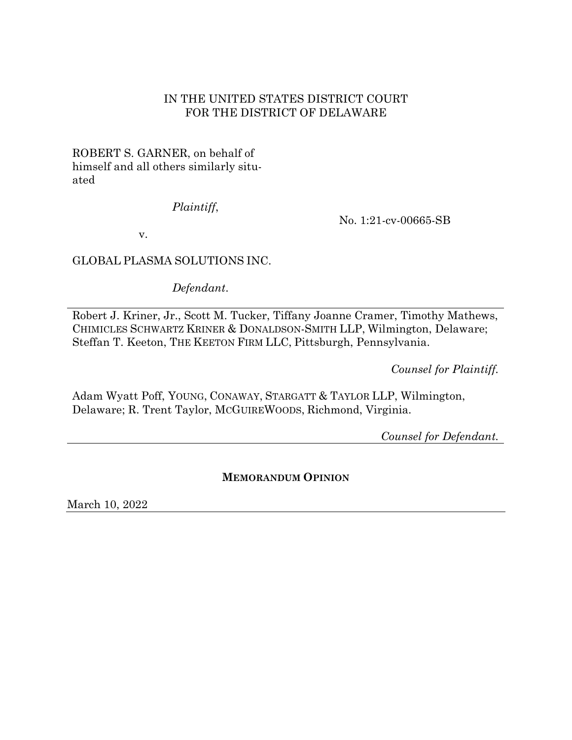## IN THE UNITED STATES DISTRICT COURT FOR THE DISTRICT OF DELAWARE

ROBERT S. GARNER, on behalf of himself and all others similarly situated

## *Plaintiff*,

No. 1:21-cv-00665-SB

v.

# GLOBAL PLASMA SOLUTIONS INC.

*Defendant*.

Robert J. Kriner, Jr., Scott M. Tucker, Tiffany Joanne Cramer, Timothy Mathews, CHIMICLES SCHWARTZ KRINER & DONALDSON-SMITH LLP, Wilmington, Delaware; Steffan T. Keeton, THE KEETON FIRM LLC, Pittsburgh, Pennsylvania.

*Counsel for Plaintiff.*

Adam Wyatt Poff, YOUNG, CONAWAY, STARGATT & TAYLOR LLP, Wilmington, Delaware; R. Trent Taylor, MCGUIREWOODS, Richmond, Virginia.

*Counsel for Defendant.*

# **MEMORANDUM OPINION**

March 10, 2022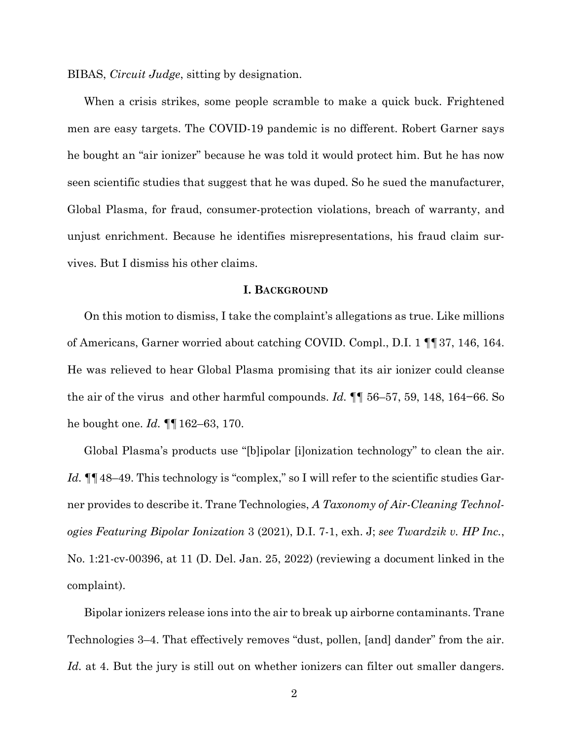BIBAS, *Circuit Judge*, sitting by designation.

When a crisis strikes, some people scramble to make a quick buck. Frightened men are easy targets. The COVID-19 pandemic is no different. Robert Garner says he bought an "air ionizer" because he was told it would protect him. But he has now seen scientific studies that suggest that he was duped. So he sued the manufacturer, Global Plasma, for fraud, consumer-protection violations, breach of warranty, and unjust enrichment. Because he identifies misrepresentations, his fraud claim survives. But I dismiss his other claims.

#### **I. BACKGROUND**

On this motion to dismiss, I take the complaint's allegations as true. Like millions of Americans, Garner worried about catching COVID. Compl., D.I. 1 ¶¶37, 146, 164. He was relieved to hear Global Plasma promising that its air ionizer could cleanse the air of the virus and other harmful compounds. *Id.* ¶¶ 56–57, 59, 148, 164−66. So he bought one. *Id.* ¶¶162–63, 170.

Global Plasma's products use "[b]ipolar [i]onization technology" to clean the air. Id.  $\P\P$ 48–49. This technology is "complex," so I will refer to the scientific studies Garner provides to describe it. Trane Technologies, *A Taxonomy of Air-Cleaning Technologies Featuring Bipolar Ionization* 3 (2021), D.I. 7-1, exh. J; *see Twardzik v. HP Inc.*, No. 1:21-cv-00396, at 11 (D. Del. Jan. 25, 2022) (reviewing a document linked in the complaint).

Bipolar ionizers release ions into the air to break up airborne contaminants. Trane Technologies 3–4. That effectively removes "dust, pollen, [and] dander" from the air. Id. at 4. But the jury is still out on whether ionizers can filter out smaller dangers.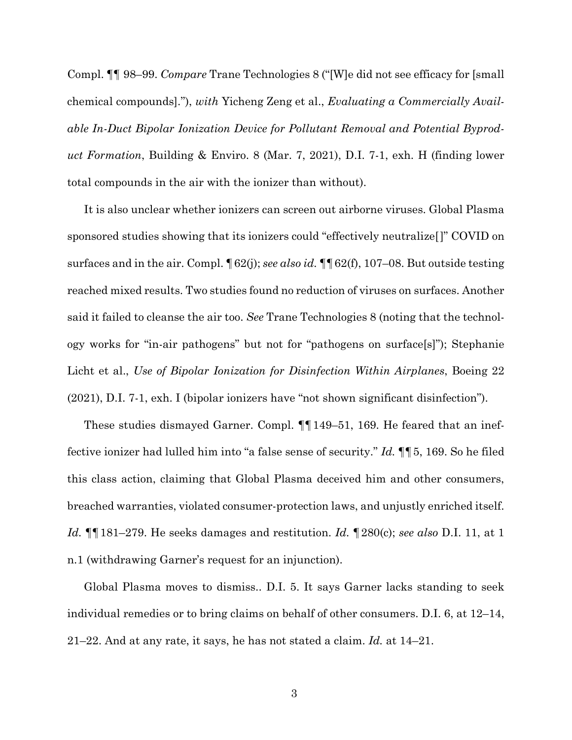Compl. ¶¶ 98–99. *Compare* Trane Technologies 8 ("[W]e did not see efficacy for [small chemical compounds]."), *with* Yicheng Zeng et al., *Evaluating a Commercially Available In-Duct Bipolar Ionization Device for Pollutant Removal and Potential Byproduct Formation*, Building & Enviro. 8 (Mar. 7, 2021), D.I. 7-1, exh. H (finding lower total compounds in the air with the ionizer than without).

It is also unclear whether ionizers can screen out airborne viruses. Global Plasma sponsored studies showing that its ionizers could "effectively neutralize[]" COVID on surfaces and in the air. Compl. ¶62(j); *see also id.* ¶¶62(f), 107–08. But outside testing reached mixed results. Two studies found no reduction of viruses on surfaces. Another said it failed to cleanse the air too. *See* Trane Technologies 8 (noting that the technology works for "in-air pathogens" but not for "pathogens on surface[s]"); Stephanie Licht et al., *Use of Bipolar Ionization for Disinfection Within Airplanes*, Boeing 22 (2021), D.I. 7-1, exh. I (bipolar ionizers have "not shown significant disinfection").

These studies dismayed Garner. Compl. ¶¶149–51, 169. He feared that an ineffective ionizer had lulled him into "a false sense of security." *Id.* ¶¶5, 169. So he filed this class action, claiming that Global Plasma deceived him and other consumers, breached warranties, violated consumer-protection laws, and unjustly enriched itself. *Id.* ¶¶181–279. He seeks damages and restitution. *Id.* ¶280(c); *see also* D.I. 11, at 1 n.1 (withdrawing Garner's request for an injunction).

Global Plasma moves to dismiss.. D.I. 5. It says Garner lacks standing to seek individual remedies or to bring claims on behalf of other consumers. D.I. 6, at 12–14, 21–22. And at any rate, it says, he has not stated a claim. *Id.* at 14–21.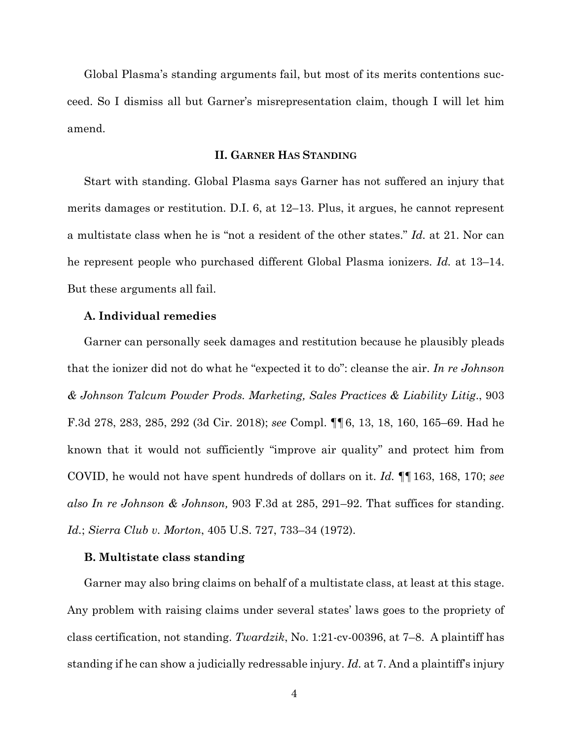Global Plasma's standing arguments fail, but most of its merits contentions succeed. So I dismiss all but Garner's misrepresentation claim, though I will let him amend.

## **II. GARNER HAS STANDING**

Start with standing. Global Plasma says Garner has not suffered an injury that merits damages or restitution. D.I. 6, at 12–13. Plus, it argues, he cannot represent a multistate class when he is "not a resident of the other states." *Id.* at 21. Nor can he represent people who purchased different Global Plasma ionizers. *Id.* at 13–14. But these arguments all fail.

### **A. Individual remedies**

Garner can personally seek damages and restitution because he plausibly pleads that the ionizer did not do what he "expected it to do": cleanse the air. *In re Johnson & Johnson Talcum Powder Prods. Marketing, Sales Practices & Liability Litig*., 903 F.3d 278, 283, 285, 292 (3d Cir. 2018); *see* Compl. ¶¶6, 13, 18, 160, 165–69. Had he known that it would not sufficiently "improve air quality" and protect him from COVID, he would not have spent hundreds of dollars on it. *Id.* ¶¶163, 168, 170; *see also In re Johnson & Johnson,* 903 F.3d at 285, 291–92. That suffices for standing. *Id.*; *Sierra Club v. Morton*, 405 U.S. 727, 733–34 (1972).

## **B. Multistate class standing**

Garner may also bring claims on behalf of a multistate class, at least at this stage. Any problem with raising claims under several states' laws goes to the propriety of class certification, not standing. *Twardzik*, No. 1:21-cv-00396, at 7–8. A plaintiff has standing if he can show a judicially redressable injury. *Id.* at 7. And a plaintiff's injury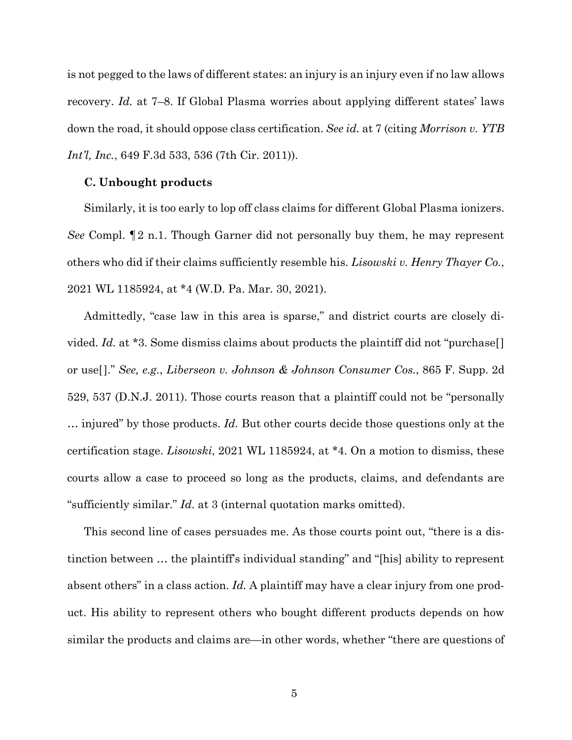is not pegged to the laws of different states: an injury is an injury even if no law allows recovery. *Id.* at 7–8. If Global Plasma worries about applying different states' laws down the road, it should oppose class certification. *See id.* at 7 (citing *Morrison v. YTB Int'l, Inc.*, 649 F.3d 533, 536 (7th Cir. 2011)).

#### **C. Unbought products**

Similarly, it is too early to lop off class claims for different Global Plasma ionizers. *See* Compl. ¶2 n.1. Though Garner did not personally buy them, he may represent others who did if their claims sufficiently resemble his. *Lisowski v. Henry Thayer Co.*, 2021 WL 1185924, at \*4 (W.D. Pa. Mar. 30, 2021).

Admittedly, "case law in this area is sparse," and district courts are closely divided. *Id.* at \*3. Some dismiss claims about products the plaintiff did not "purchase[] or use[]." *See, e.g.*, *Liberseon v. Johnson & Johnson Consumer Cos.*, 865 F. Supp. 2d 529, 537 (D.N.J. 2011). Those courts reason that a plaintiff could not be "personally … injured" by those products. *Id.* But other courts decide those questions only at the certification stage. *Lisowski*, 2021 WL 1185924, at \*4. On a motion to dismiss, these courts allow a case to proceed so long as the products, claims, and defendants are "sufficiently similar." *Id*. at 3 (internal quotation marks omitted).

This second line of cases persuades me. As those courts point out, "there is a distinction between … the plaintiff's individual standing" and "[his] ability to represent absent others" in a class action. *Id.* A plaintiff may have a clear injury from one product. His ability to represent others who bought different products depends on how similar the products and claims are—in other words, whether "there are questions of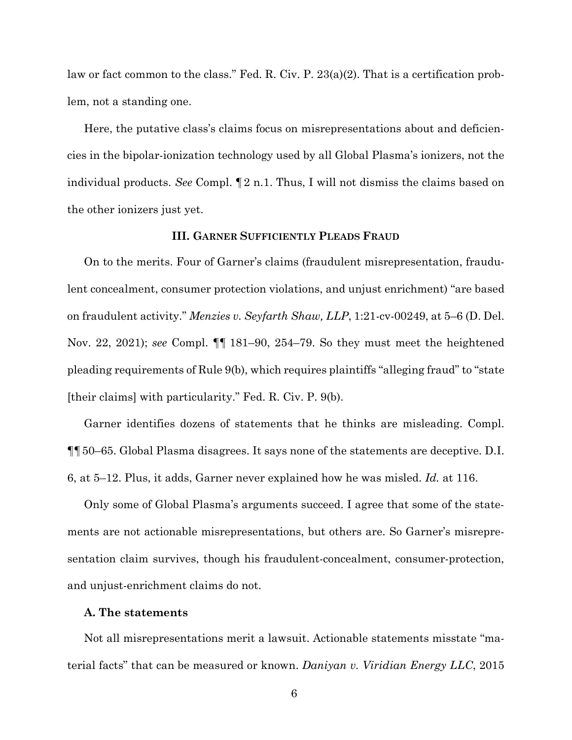law or fact common to the class." Fed. R. Civ. P. 23(a)(2). That is a certification problem, not a standing one.

Here, the putative class's claims focus on misrepresentations about and deficiencies in the bipolar-ionization technology used by all Global Plasma's ionizers, not the individual products. *See* Compl. ¶2 n.1. Thus, I will not dismiss the claims based on the other ionizers just yet.

## **III. GARNER SUFFICIENTLY PLEADS FRAUD**

On to the merits. Four of Garner's claims (fraudulent misrepresentation, fraudulent concealment, consumer protection violations, and unjust enrichment) "are based on fraudulent activity." *Menzies v. Seyfarth Shaw, LLP*, 1:21-cv-00249, at 5–6 (D. Del. Nov. 22, 2021); *see* Compl. ¶¶ 181–90, 254–79. So they must meet the heightened pleading requirements of Rule 9(b), which requires plaintiffs "alleging fraud" to "state [their claims] with particularity." Fed. R. Civ. P. 9(b).

Garner identifies dozens of statements that he thinks are misleading. Compl. ¶¶50–65. Global Plasma disagrees. It says none of the statements are deceptive. D.I. 6, at 5–12. Plus, it adds, Garner never explained how he was misled. *Id.* at 116.

Only some of Global Plasma's arguments succeed. I agree that some of the statements are not actionable misrepresentations, but others are. So Garner's misrepresentation claim survives, though his fraudulent-concealment, consumer-protection, and unjust-enrichment claims do not.

#### **A. The statements**

Not all misrepresentations merit a lawsuit. Actionable statements misstate "material facts" that can be measured or known. *Daniyan v. Viridian Energy LLC*, 2015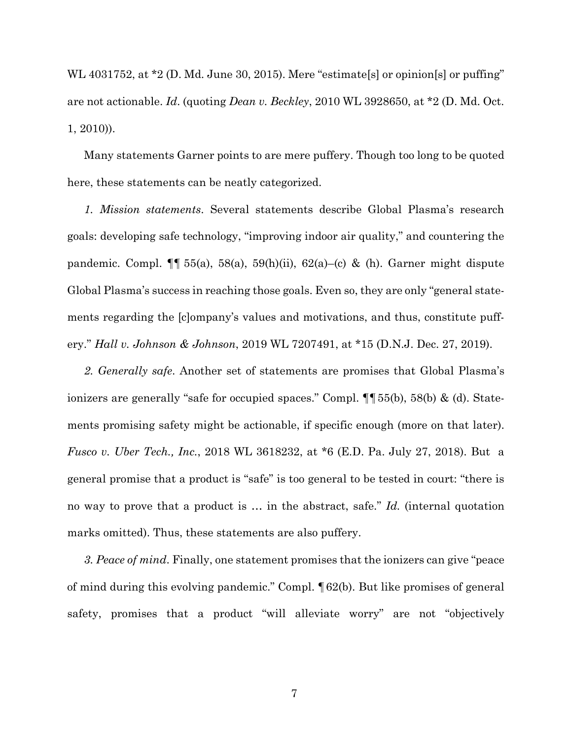WL 4031752, at \*2 (D. Md. June 30, 2015). Mere "estimate<sup>[s]</sup> or opinion<sup>[s]</sup> or puffing" are not actionable. *Id*. (quoting *Dean v. Beckley*, 2010 WL 3928650, at \*2 (D. Md. Oct. 1, 2010)).

Many statements Garner points to are mere puffery. Though too long to be quoted here, these statements can be neatly categorized.

*1. Mission statements*. Several statements describe Global Plasma's research goals: developing safe technology, "improving indoor air quality," and countering the pandemic. Compl.  $\P\P$  55(a), 58(a), 59(h)(ii), 62(a)–(c) & (h). Garner might dispute Global Plasma's success in reaching those goals. Even so, they are only "general statements regarding the [c]ompany's values and motivations, and thus, constitute puffery." *Hall v. Johnson & Johnson*, 2019 WL 7207491, at \*15 (D.N.J. Dec. 27, 2019).

*2. Generally safe*. Another set of statements are promises that Global Plasma's ionizers are generally "safe for occupied spaces." Compl. ¶¶55(b), 58(b) & (d). Statements promising safety might be actionable, if specific enough (more on that later). *Fusco v. Uber Tech., Inc.*, 2018 WL 3618232, at \*6 (E.D. Pa. July 27, 2018). But a general promise that a product is "safe" is too general to be tested in court: "there is no way to prove that a product is … in the abstract, safe." *Id.* (internal quotation marks omitted). Thus, these statements are also puffery.

*3. Peace of mind*. Finally, one statement promises that the ionizers can give "peace of mind during this evolving pandemic." Compl. ¶62(b). But like promises of general safety, promises that a product "will alleviate worry" are not "objectively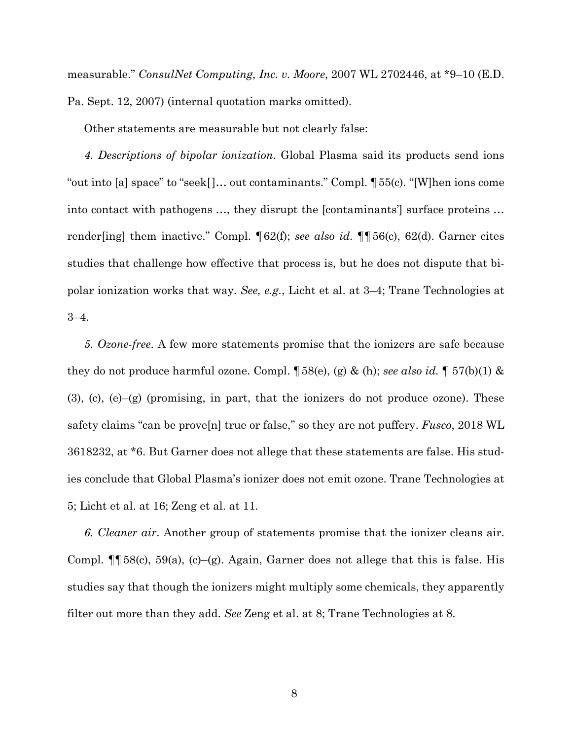measurable." *ConsulNet Computing, Inc. v. Moore*, 2007 WL 2702446, at \*9–10 (E.D. Pa. Sept. 12, 2007) (internal quotation marks omitted).

Other statements are measurable but not clearly false:

*4. Descriptions of bipolar ionization*. Global Plasma said its products send ions "out into [a] space" to "seek[]… out contaminants." Compl. ¶55(c). "[W]hen ions come into contact with pathogens …, they disrupt the [contaminants'] surface proteins … render[ing] them inactive." Compl. ¶62(f); *see also id.* ¶¶56(c), 62(d). Garner cites studies that challenge how effective that process is, but he does not dispute that bipolar ionization works that way. *See, e.g.*, Licht et al. at 3–4; Trane Technologies at 3–4.

*5. Ozone-free*. A few more statements promise that the ionizers are safe because they do not produce harmful ozone. Compl. ¶58(e), (g) & (h); *see also id.* ¶ 57(b)(1) &  $(3)$ ,  $(c)$ ,  $(e)$  $-g$  (promising, in part, that the ionizers do not produce ozone). These safety claims "can be prove[n] true or false," so they are not puffery. *Fusco*, 2018 WL 3618232, at \*6. But Garner does not allege that these statements are false. His studies conclude that Global Plasma's ionizer does not emit ozone. Trane Technologies at 5; Licht et al. at 16; Zeng et al. at 11.

*6. Cleaner air*. Another group of statements promise that the ionizer cleans air. Compl.  $\P$  58(c), 59(a), (c)–(g). Again, Garner does not allege that this is false. His studies say that though the ionizers might multiply some chemicals, they apparently filter out more than they add. *See* Zeng et al. at 8; Trane Technologies at 8.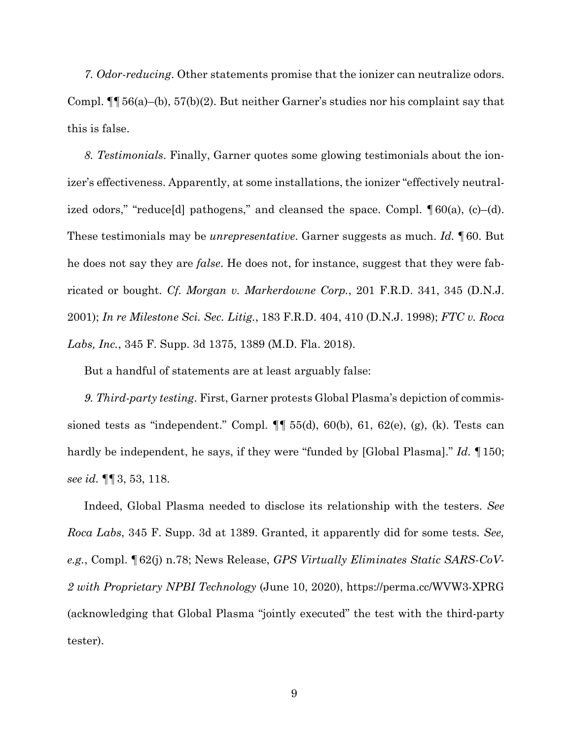*7. Odor-reducing*. Other statements promise that the ionizer can neutralize odors. Compl. ¶¶56(a)–(b), 57(b)(2). But neither Garner's studies nor his complaint say that this is false.

*8. Testimonials*. Finally, Garner quotes some glowing testimonials about the ionizer's effectiveness. Apparently, at some installations, the ionizer "effectively neutralized odors," "reduce[d] pathogens," and cleansed the space. Compl.  $\lceil 60(a), (c) - (d) \rceil$ . These testimonials may be *unrepresentative*. Garner suggests as much. *Id.* ¶60. But he does not say they are *false*. He does not, for instance, suggest that they were fabricated or bought. *Cf. Morgan v. Markerdowne Corp.*, 201 F.R.D. 341, 345 (D.N.J. 2001); *In re Milestone Sci. Sec. Litig.*, 183 F.R.D. 404, 410 (D.N.J. 1998); *FTC v. Roca Labs, Inc.*, 345 F. Supp. 3d 1375, 1389 (M.D. Fla. 2018).

But a handful of statements are at least arguably false:

*9. Third-party testing*. First, Garner protests Global Plasma's depiction of commissioned tests as "independent." Compl.  $\P\P$  55(d), 60(b), 61, 62(e), (g), (k). Tests can hardly be independent, he says, if they were "funded by [Global Plasma]." *Id.* ¶150; *see id.* ¶¶3, 53, 118.

Indeed, Global Plasma needed to disclose its relationship with the testers. *See Roca Labs*, 345 F. Supp. 3d at 1389. Granted, it apparently did for some tests*. See, e.g.*, Compl. ¶62(j) n.78; News Release, *GPS Virtually Eliminates Static SARS-CoV-2 with Proprietary NPBI Technology* (June 10, 2020), https://perma.cc/WVW3-XPRG (acknowledging that Global Plasma "jointly executed" the test with the third-party tester).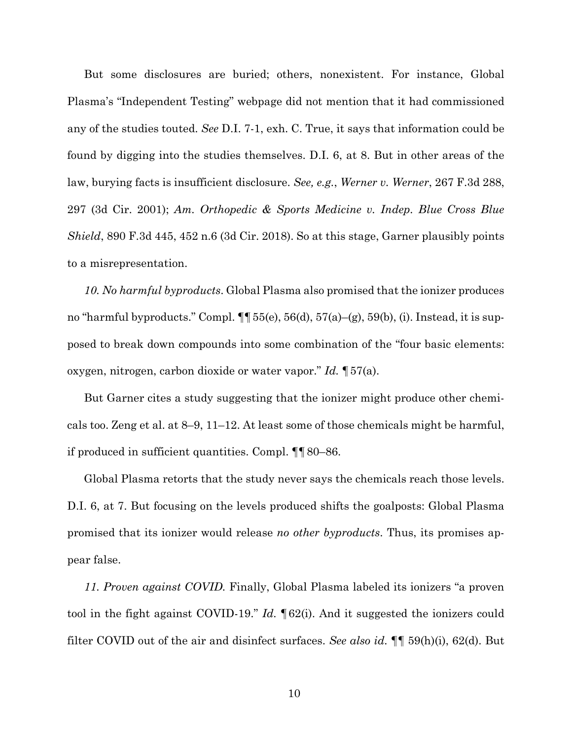But some disclosures are buried; others, nonexistent. For instance, Global Plasma's "Independent Testing" webpage did not mention that it had commissioned any of the studies touted. *See* D.I. 7-1, exh. C. True, it says that information could be found by digging into the studies themselves. D.I. 6, at 8. But in other areas of the law, burying facts is insufficient disclosure. *See, e.g.*, *Werner v. Werner*, 267 F.3d 288, 297 (3d Cir. 2001); *Am. Orthopedic & Sports Medicine v. Indep. Blue Cross Blue Shield*, 890 F.3d 445, 452 n.6 (3d Cir. 2018). So at this stage, Garner plausibly points to a misrepresentation.

*10. No harmful byproducts*. Global Plasma also promised that the ionizer produces no "harmful byproducts." Compl.  $\P\P$  55(e), 56(d), 57(a)–(g), 59(b), (i). Instead, it is supposed to break down compounds into some combination of the "four basic elements: oxygen, nitrogen, carbon dioxide or water vapor." *Id.* ¶57(a).

But Garner cites a study suggesting that the ionizer might produce other chemicals too. Zeng et al. at 8–9, 11–12. At least some of those chemicals might be harmful, if produced in sufficient quantities. Compl. ¶¶80–86.

Global Plasma retorts that the study never says the chemicals reach those levels. D.I. 6, at 7. But focusing on the levels produced shifts the goalposts: Global Plasma promised that its ionizer would release *no other byproducts*. Thus, its promises appear false.

*11. Proven against COVID.* Finally, Global Plasma labeled its ionizers "a proven tool in the fight against COVID-19." *Id.* ¶62(i). And it suggested the ionizers could filter COVID out of the air and disinfect surfaces. *See also id.* ¶¶ 59(h)(i), 62(d). But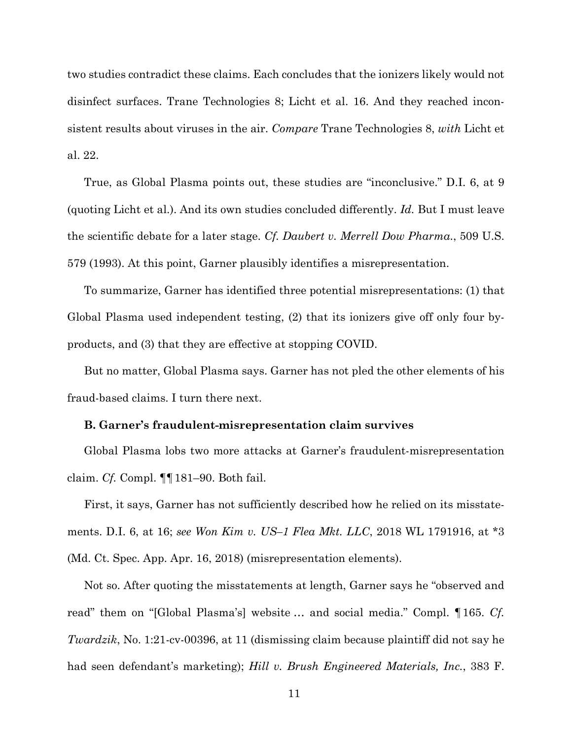two studies contradict these claims. Each concludes that the ionizers likely would not disinfect surfaces. Trane Technologies 8; Licht et al. 16. And they reached inconsistent results about viruses in the air. *Compare* Trane Technologies 8, *with* Licht et al. 22.

True, as Global Plasma points out, these studies are "inconclusive." D.I. 6, at 9 (quoting Licht et al.). And its own studies concluded differently. *Id.* But I must leave the scientific debate for a later stage. *Cf. Daubert v. Merrell Dow Pharma*., 509 U.S. 579 (1993). At this point, Garner plausibly identifies a misrepresentation.

To summarize, Garner has identified three potential misrepresentations: (1) that Global Plasma used independent testing, (2) that its ionizers give off only four byproducts, and (3) that they are effective at stopping COVID.

But no matter, Global Plasma says. Garner has not pled the other elements of his fraud-based claims. I turn there next.

### **B. Garner's fraudulent-misrepresentation claim survives**

Global Plasma lobs two more attacks at Garner's fraudulent-misrepresentation claim. *Cf.* Compl. ¶¶181–90. Both fail.

First, it says, Garner has not sufficiently described how he relied on its misstatements. D.I. 6, at 16; *see Won Kim v. US–1 Flea Mkt. LLC*, 2018 WL 1791916, at \*3 (Md. Ct. Spec. App. Apr. 16, 2018) (misrepresentation elements).

Not so. After quoting the misstatements at length, Garner says he "observed and read" them on "[Global Plasma's] website … and social media." Compl. ¶165. *Cf. Twardzik*, No. 1:21-cv-00396, at 11 (dismissing claim because plaintiff did not say he had seen defendant's marketing); *Hill v. Brush Engineered Materials, Inc.*, 383 F.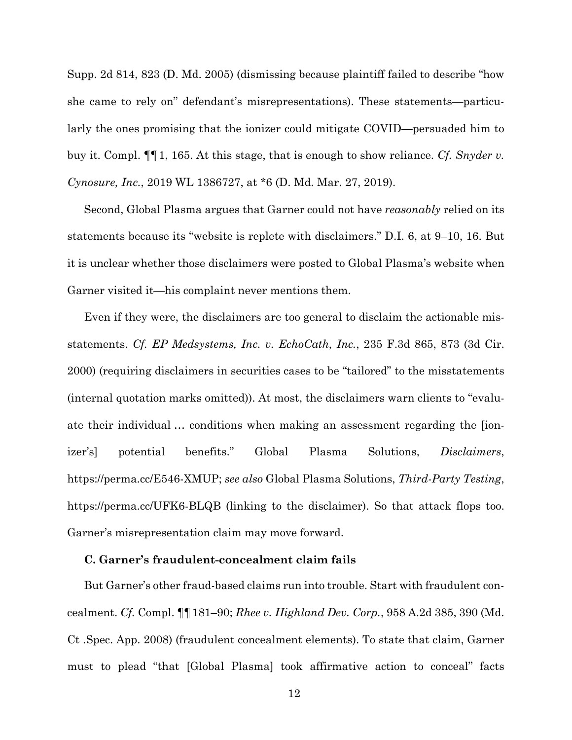Supp. 2d 814, 823 (D. Md. 2005) (dismissing because plaintiff failed to describe "how she came to rely on" defendant's misrepresentations). These statements—particularly the ones promising that the ionizer could mitigate COVID—persuaded him to buy it. Compl. ¶¶1, 165. At this stage, that is enough to show reliance. *Cf. Snyder v. Cynosure, Inc.*, 2019 WL 1386727, at \*6 (D. Md. Mar. 27, 2019).

Second, Global Plasma argues that Garner could not have *reasonably* relied on its statements because its "website is replete with disclaimers." D.I. 6, at 9–10, 16. But it is unclear whether those disclaimers were posted to Global Plasma's website when Garner visited it—his complaint never mentions them.

Even if they were, the disclaimers are too general to disclaim the actionable misstatements. *Cf. EP Medsystems, Inc. v. EchoCath, Inc.*, 235 F.3d 865, 873 (3d Cir. 2000) (requiring disclaimers in securities cases to be "tailored" to the misstatements (internal quotation marks omitted)). At most, the disclaimers warn clients to "evaluate their individual … conditions when making an assessment regarding the [ionizer's] potential benefits." Global Plasma Solutions, *Disclaimers*, https://perma.cc/E546-XMUP; *see also* Global Plasma Solutions, *Third-Party Testing*, https://perma.cc/UFK6-BLQB (linking to the disclaimer). So that attack flops too. Garner's misrepresentation claim may move forward.

## **C. Garner's fraudulent-concealment claim fails**

But Garner's other fraud-based claims run into trouble. Start with fraudulent concealment. *Cf.* Compl. ¶¶181–90; *Rhee v. Highland Dev. Corp.*, 958 A.2d 385, 390 (Md. Ct .Spec. App. 2008) (fraudulent concealment elements). To state that claim, Garner must to plead "that [Global Plasma] took affirmative action to conceal" facts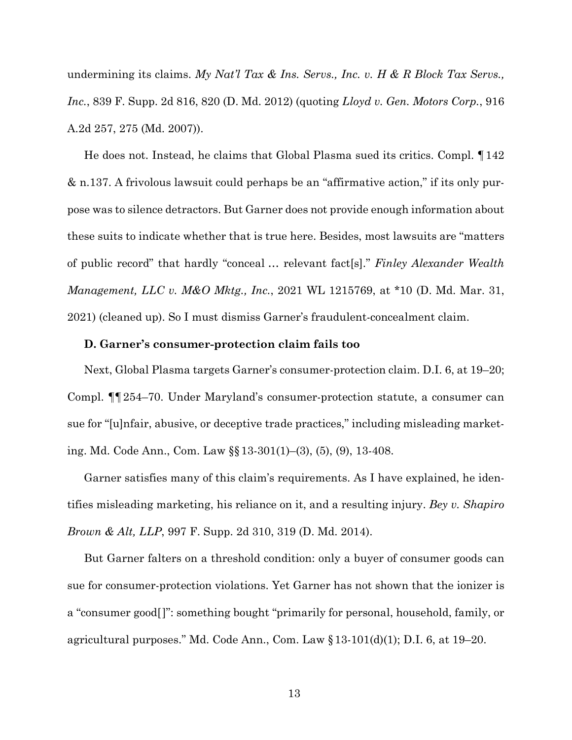undermining its claims. *My Nat'l Tax & Ins. Servs., Inc. v. H & R Block Tax Servs., Inc.*, 839 F. Supp. 2d 816, 820 (D. Md. 2012) (quoting *Lloyd v. Gen. Motors Corp.*, 916 A.2d 257, 275 (Md. 2007)).

He does not. Instead, he claims that Global Plasma sued its critics. Compl. ¶142 & n.137. A frivolous lawsuit could perhaps be an "affirmative action," if its only purpose was to silence detractors. But Garner does not provide enough information about these suits to indicate whether that is true here. Besides, most lawsuits are "matters of public record" that hardly "conceal … relevant fact[s]." *Finley Alexander Wealth Management, LLC v. M&O Mktg., Inc.*, 2021 WL 1215769, at \*10 (D. Md. Mar. 31, 2021) (cleaned up). So I must dismiss Garner's fraudulent-concealment claim.

### **D. Garner's consumer-protection claim fails too**

Next, Global Plasma targets Garner's consumer-protection claim. D.I. 6, at 19–20; Compl. ¶¶254–70. Under Maryland's consumer-protection statute, a consumer can sue for "[u]nfair, abusive, or deceptive trade practices," including misleading marketing. Md. Code Ann., Com. Law §§13-301(1)–(3), (5), (9), 13-408.

Garner satisfies many of this claim's requirements. As I have explained, he identifies misleading marketing, his reliance on it, and a resulting injury. *Bey v. Shapiro Brown & Alt, LLP*, 997 F. Supp. 2d 310, 319 (D. Md. 2014).

But Garner falters on a threshold condition: only a buyer of consumer goods can sue for consumer-protection violations. Yet Garner has not shown that the ionizer is a "consumer good[]": something bought "primarily for personal, household, family, or agricultural purposes." Md. Code Ann., Com. Law  $\S 13-101(d)(1)$ ; D.I. 6, at 19–20.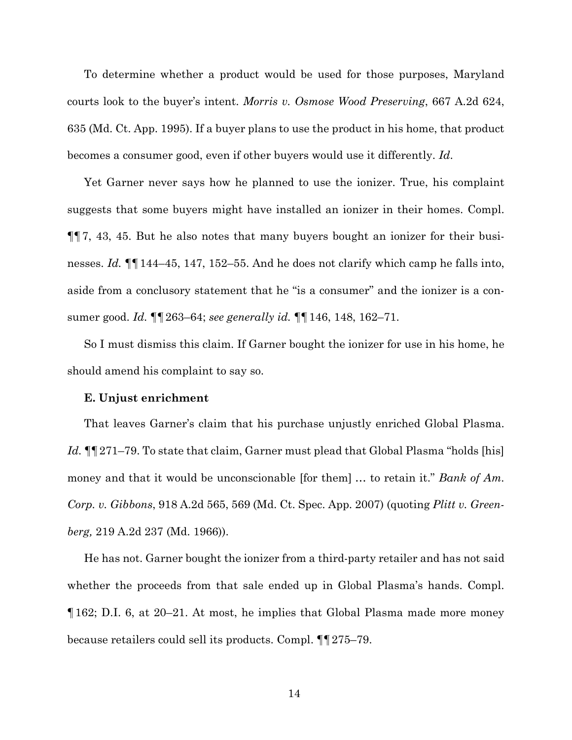To determine whether a product would be used for those purposes, Maryland courts look to the buyer's intent. *Morris v. Osmose Wood Preserving*, 667 A.2d 624, 635 (Md. Ct. App. 1995). If a buyer plans to use the product in his home, that product becomes a consumer good, even if other buyers would use it differently. *Id*.

Yet Garner never says how he planned to use the ionizer. True, his complaint suggests that some buyers might have installed an ionizer in their homes. Compl. ¶¶7, 43, 45. But he also notes that many buyers bought an ionizer for their businesses. *Id.* ¶¶144–45, 147, 152–55. And he does not clarify which camp he falls into, aside from a conclusory statement that he "is a consumer" and the ionizer is a consumer good. *Id.* ¶¶263–64; *see generally id.* ¶¶146, 148, 162–71.

So I must dismiss this claim. If Garner bought the ionizer for use in his home, he should amend his complaint to say so.

#### **E. Unjust enrichment**

That leaves Garner's claim that his purchase unjustly enriched Global Plasma. *Id.* ¶¶271–79. To state that claim, Garner must plead that Global Plasma "holds [his] money and that it would be unconscionable [for them] … to retain it." *Bank of Am. Corp. v. Gibbons*, 918 A.2d 565, 569 (Md. Ct. Spec. App. 2007) (quoting *Plitt v. Greenberg,* 219 A.2d 237 (Md. 1966)).

He has not. Garner bought the ionizer from a third-party retailer and has not said whether the proceeds from that sale ended up in Global Plasma's hands. Compl. ¶162; D.I. 6, at 20–21. At most, he implies that Global Plasma made more money because retailers could sell its products. Compl. ¶¶275–79.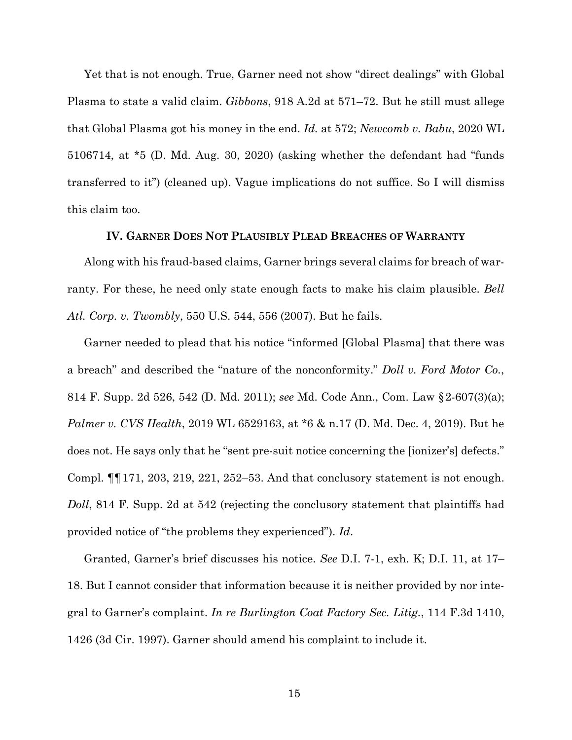Yet that is not enough. True, Garner need not show "direct dealings" with Global Plasma to state a valid claim. *Gibbons*, 918 A.2d at 571–72. But he still must allege that Global Plasma got his money in the end. *Id.* at 572; *Newcomb v. Babu*, 2020 WL 5106714, at \*5 (D. Md. Aug. 30, 2020) (asking whether the defendant had "funds transferred to it") (cleaned up). Vague implications do not suffice. So I will dismiss this claim too.

## **IV. GARNER DOES NOT PLAUSIBLY PLEAD BREACHES OF WARRANTY**

Along with his fraud-based claims, Garner brings several claims for breach of warranty. For these, he need only state enough facts to make his claim plausible. *Bell Atl. Corp. v. Twombly*, 550 U.S. 544, 556 (2007). But he fails.

Garner needed to plead that his notice "informed [Global Plasma] that there was a breach" and described the "nature of the nonconformity." *Doll v. Ford Motor Co.*, 814 F. Supp. 2d 526, 542 (D. Md. 2011); *see* Md. Code Ann., Com. Law §2-607(3)(a); *Palmer v. CVS Health*, 2019 WL 6529163, at \*6 & n.17 (D. Md. Dec. 4, 2019). But he does not. He says only that he "sent pre-suit notice concerning the [ionizer's] defects." Compl.  $\P$  171, 203, 219, 221, 252–53. And that conclusory statement is not enough. *Doll*, 814 F. Supp. 2d at 542 (rejecting the conclusory statement that plaintiffs had provided notice of "the problems they experienced"). *Id*.

Granted, Garner's brief discusses his notice. *See* D.I. 7-1, exh. K; D.I. 11, at 17– 18. But I cannot consider that information because it is neither provided by nor integral to Garner's complaint. *In re Burlington Coat Factory Sec. Litig.*, 114 F.3d 1410, 1426 (3d Cir. 1997). Garner should amend his complaint to include it.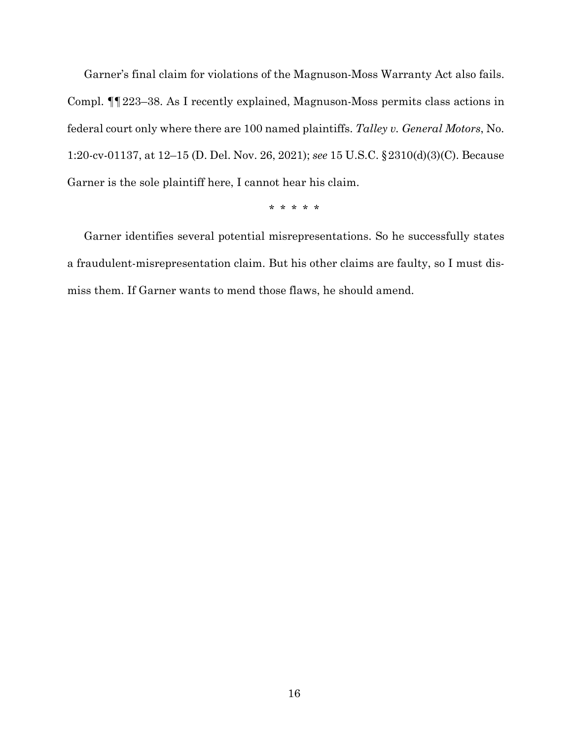Garner's final claim for violations of the Magnuson-Moss Warranty Act also fails. Compl. ¶¶223–38. As I recently explained, Magnuson-Moss permits class actions in federal court only where there are 100 named plaintiffs. *Talley v. General Motors*, No. 1:20-cv-01137, at 12–15 (D. Del. Nov. 26, 2021); *see* 15 U.S.C. §2310(d)(3)(C). Because Garner is the sole plaintiff here, I cannot hear his claim.

\* \* \* \* \*

Garner identifies several potential misrepresentations. So he successfully states a fraudulent-misrepresentation claim. But his other claims are faulty, so I must dismiss them. If Garner wants to mend those flaws, he should amend.